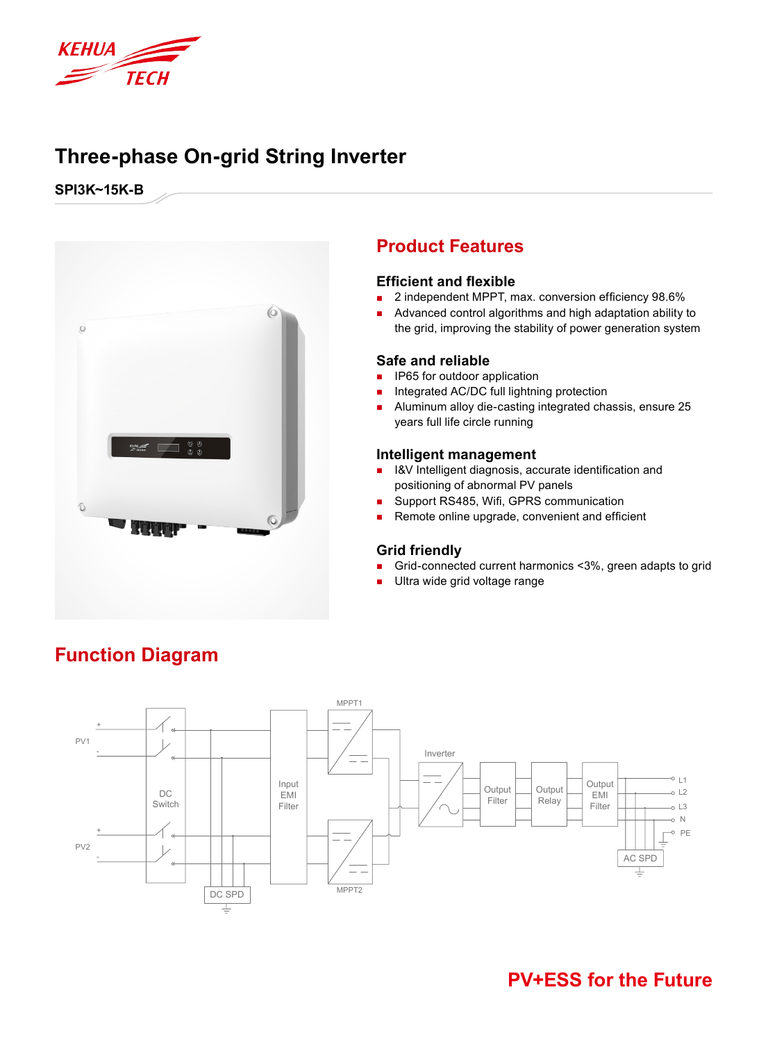

## **Three-phase On-grid String Inverter**

**SPI3K~15K-B**



### **Product Features**

#### **Efficient and flexible**

- 2 independent MPPT, max. conversion efficiency 98.6%
- Advanced control algorithms and high adaptation ability to the grid, improving the stability of power generation system

#### **Safe and reliable**

- IP65 for outdoor application
- Integrated AC/DC full lightning protection
- Aluminum alloy die-casting integrated chassis, ensure 25 years full life circle running

#### **Intelligent management**

- I&V Intelligent diagnosis, accurate identification and positioning of abnormal PV panels
- Support RS485, Wifi, GPRS communication
- Remote online upgrade, convenient and efficient

#### **Grid friendly**

- Grid-connected current harmonics <3%, green adapts to grid
- Ultra wide grid voltage range



# **Function Diagram**

### **PV+ESS for the Future**